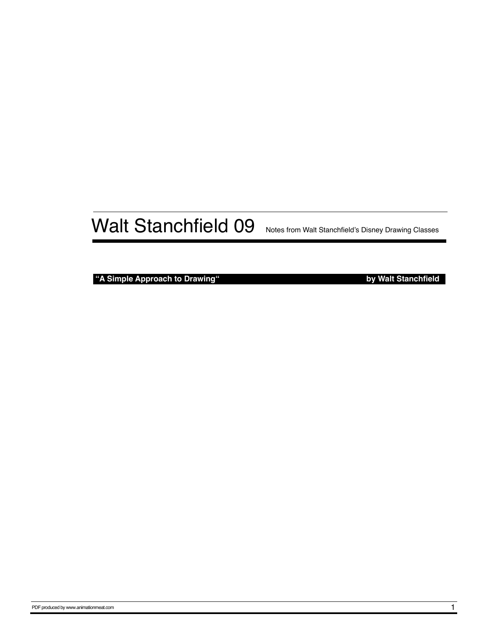# Walt Stanchfield 09 Notes from Walt Stanchfield's Disney Drawing Classes

**"A Simple Approach to Drawing"**

 **by Walt Stanchfield**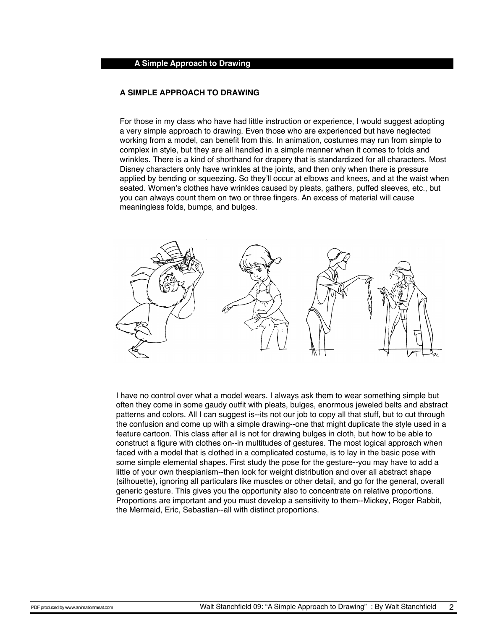#### **A Simple Approach to Drawing**

### **A SIMPLE APPROACH TO DRAWING**

For those in my class who have had little instruction or experience, I would suggest adopting a very simple approach to drawing. Even those who are experienced but have neglected working from a model, can benefit from this. In animation, costumes may run from simple to complex in style, but they are all handled in a simple manner when it comes to folds and wrinkles. There is a kind of shorthand for drapery that is standardized for all characters. Most Disney characters only have wrinkles at the joints, and then only when there is pressure applied by bending or squeezing. So they'll occur at elbows and knees, and at the waist when seated. Women's clothes have wrinkles caused by pleats, gathers, puffed sleeves, etc., but you can always count them on two or three fingers. An excess of material will cause meaningless folds, bumps, and bulges.



I have no control over what a model wears. I always ask them to wear something simple but often they come in some gaudy outfit with pleats, bulges, enormous jeweled belts and abstract patterns and colors. All I can suggest is--its not our job to copy all that stuff, but to cut through the confusion and come up with a simple drawing--one that might duplicate the style used in a feature cartoon. This class after all is not for drawing bulges in cloth, but how to be able to construct a figure with clothes on--in multitudes of gestures. The most logical approach when faced with a model that is clothed in a complicated costume, is to lay in the basic pose with some simple elemental shapes. First study the pose for the gesture--you may have to add a little of your own thespianism--then look for weight distribution and over all abstract shape (silhouette), ignoring all particulars like muscles or other detail, and go for the general, overall generic gesture. This gives you the opportunity also to concentrate on relative proportions. Proportions are important and you must develop a sensitivity to them--Mickey, Roger Rabbit, the Mermaid, Eric, Sebastian--all with distinct proportions.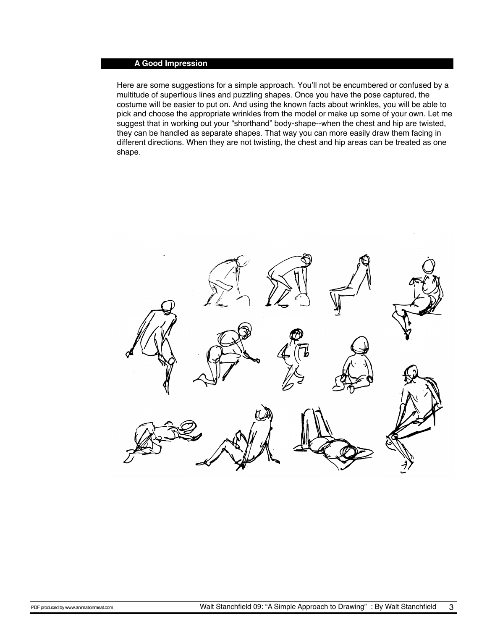#### **A Good Impression**

Here are some suggestions for a simple approach. You'll not be encumbered or confused by a multitude of superfious lines and puzzling shapes. Once you have the pose captured, the costume will be easier to put on. And using the known facts about wrinkles, you will be able to pick and choose the appropriate wrinkles from the model or make up some of your own. Let me suggest that in working out your "shorthand" body-shape--when the chest and hip are twisted, they can be handled as separate shapes. That way you can more easily draw them facing in different directions. When they are not twisting, the chest and hip areas can be treated as one shape.